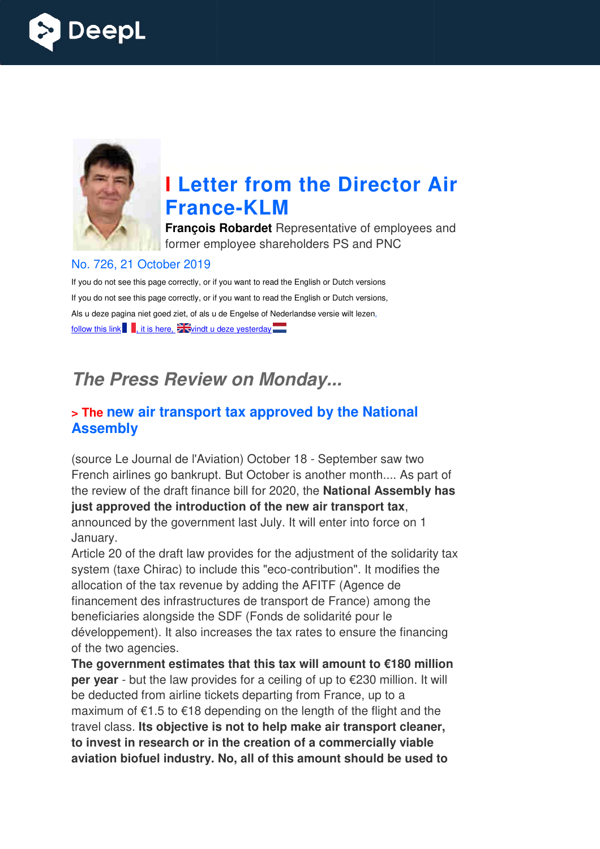



# **I Letter from the Director Air France France-KLM**

**François Robardet** Representative of employees and former employee shareholders PS and PNC

#### No. 726, 21 October 2019

If you do not see this page correctly, or if you want to read the English or Dutch versions If you do not see this page correctly, or if you want to read the English or Dutch versions, Als u deze pagina niet goed ziet, of als u de Engelse of Nederlandse versie wilt lezen, follow this link  $\blacksquare$ , it is here,  $\frac{1}{2}$  windt u deze yesterday  $\blacksquare$ 

# *The Press Review on Monday...*

#### **> The new air transport tax approved by the National Assembly**

(source Le Journal de l'Aviation) October 18 - September saw two French airlines go bankrupt. But October is another month.... As part of the review of the draft finance bill for 2020, the **National Assembly has just approved the introduction of the new air air transport tax**, announced by the government last July. It will enter into force on 1 January.

Article 20 of the draft law provides for the adjustment of the solidarity tax system (taxe Chirac) to include this "eco-contribution". It modifies the allocation of the tax revenue by adding the AFITF (Agence de financement des infrastructures de transport de France) among the beneficiaries alongside the SDF (Fonds de solidarité pour le développement). It also increases the tax rates to ensure the financing of the two agencies.

**The government estimates that this tax will amount to €180 million per year** - but the law provides for a ceiling of up to €230 million. It will be deducted from airline tickets departing from France, up to a maximum of €1.5 to €18 depending on the length of the flight and the travel class. **Its objective is not to help make air transport cleaner, to invest in research or in the creation of a commercially viable aviation biofuel industry. No, all of this amount should be used to**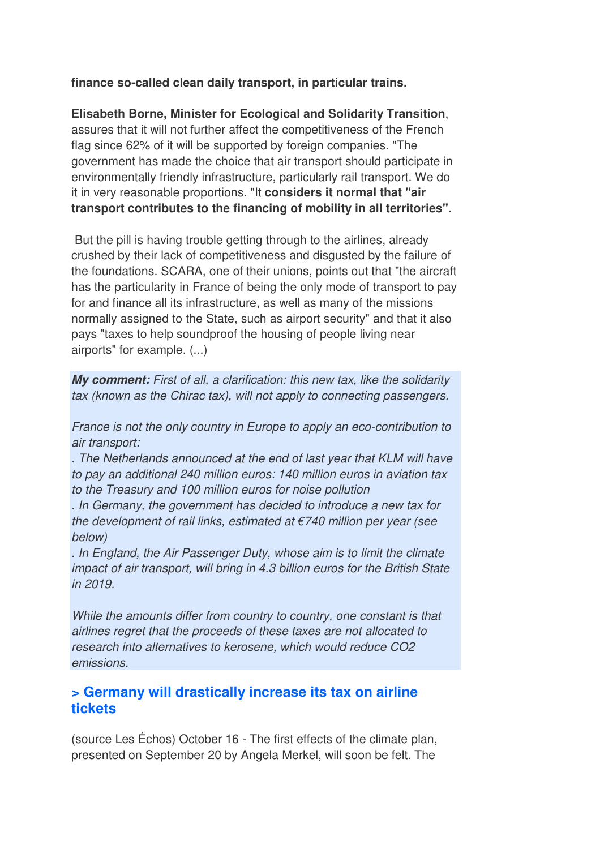**finance so-called clean daily transport, in particular trains.** 

**Elisabeth Borne, Minister for Ecological and Solidarity Transition**, assures that it will not further affect the competitiveness of the French flag since 62% of it will be supported by foreign companies. "The government has made the choice that air transport should participate in environmentally friendly infrastructure, particularly rail transport. We do it in very reasonable proportions. "It **considers it normal that "air transport contributes to the financing of mobility in all territories".** 

 But the pill is having trouble getting through to the airlines, already crushed by their lack of competitiveness and disgusted by the failure of the foundations. SCARA, one of their unions, points out that "the aircraft has the particularity in France of being the only mode of transport to pay for and finance all its infrastructure, as well as many of the missions normally assigned to the State, such as airport security" and that it also pays "taxes to help soundproof the housing of people living near airports" for example. (...)

*My comment:* First of all, a clarification: this new tax, like the solidarity tax (known as the Chirac tax), will not apply to connecting passengers.

France is not the only country in Europe to apply an eco-contribution to air transport:

. The Netherlands announced at the end of last year that KLM will have to pay an additional 240 million euros: 140 million euros in aviation tax to the Treasury and 100 million euros for noise pollution

. In Germany, the government has decided to introduce a new tax for the development of rail links, estimated at  $\epsilon$ 740 million per year (see below)

. In England, the Air Passenger Duty, whose aim is to limit the climate impact of air transport, will bring in 4.3 billion euros for the British State in 2019.

While the amounts differ from country to country, one constant is that airlines regret that the proceeds of these taxes are not allocated to research into alternatives to kerosene, which would reduce CO2 emissions.

### **> Germany will drastically increase its tax on airline tickets**

(source Les Échos) October 16 - The first effects of the climate plan, presented on September 20 by Angela Merkel, will soon be felt. The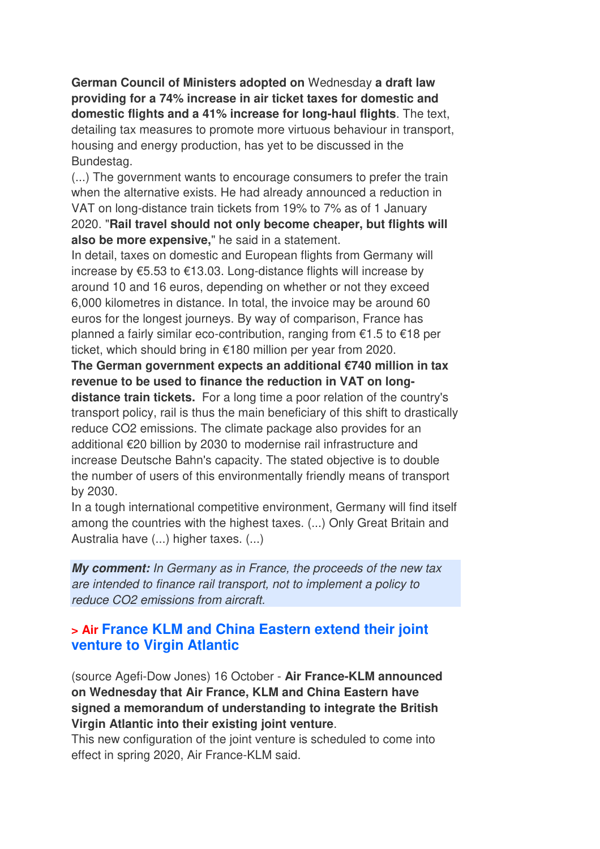**German Council of Ministers adopted on** Wednesday **a draft law providing for a 74% increase in air ticket taxes for domestic and domestic flights and a 41% increase for long-haul flights**. The text, detailing tax measures to promote more virtuous behaviour in transport, housing and energy production, has yet to be discussed in the Bundestag.

(...) The government wants to encourage consumers to prefer the train when the alternative exists. He had already announced a reduction in VAT on long-distance train tickets from 19% to 7% as of 1 January 2020. "**Rail travel should not only become cheaper, but flights will also be more expensive,**" he said in a statement.

In detail, taxes on domestic and European flights from Germany will increase by €5.53 to €13.03. Long-distance flights will increase by around 10 and 16 euros, depending on whether or not they exceed 6,000 kilometres in distance. In total, the invoice may be around 60 euros for the longest journeys. By way of comparison, France has planned a fairly similar eco-contribution, ranging from €1.5 to €18 per ticket, which should bring in €180 million per year from 2020.

**The German government expects an additional €740 million in tax revenue to be used to finance the reduction in VAT on longdistance train tickets.** For a long time a poor relation of the country's transport policy, rail is thus the main beneficiary of this shift to drastically reduce CO2 emissions. The climate package also provides for an additional €20 billion by 2030 to modernise rail infrastructure and increase Deutsche Bahn's capacity. The stated objective is to double the number of users of this environmentally friendly means of transport

by 2030. In a tough international competitive environment, Germany will find itself among the countries with the highest taxes. (...) Only Great Britain and Australia have (...) higher taxes. (...)

*My comment:* In Germany as in France, the proceeds of the new tax are intended to finance rail transport, not to implement a policy to reduce CO2 emissions from aircraft.

### **> Air France KLM and China Eastern extend their joint venture to Virgin Atlantic**

(source Agefi-Dow Jones) 16 October - **Air France-KLM announced on Wednesday that Air France, KLM and China Eastern have signed a memorandum of understanding to integrate the British Virgin Atlantic into their existing joint venture**.

This new configuration of the joint venture is scheduled to come into effect in spring 2020, Air France-KLM said.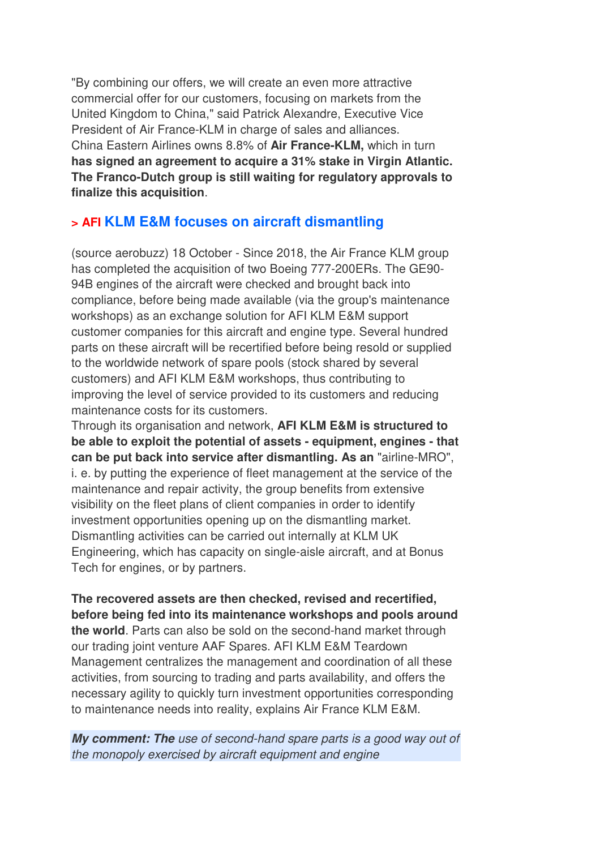"By combining our offers, we will create an even more attractive commercial offer for our customers, focusing on markets from the United Kingdom to China," said Patrick Alexandre, Executive Vice President of Air France-KLM in charge of sales and alliances. China Eastern Airlines owns 8.8% of **Air France-KLM,** which in turn **has signed an agreement to acquire a 31% stake in Virgin Atlantic. The Franco-Dutch group is still waiting for regulatory approvals to finalize this acquisition**.

## **> AFI KLM E&M focuses on aircraft dismantling**

(source aerobuzz) 18 October - Since 2018, the Air France KLM group has completed the acquisition of two Boeing 777-200ERs. The GE90- 94B engines of the aircraft were checked and brought back into compliance, before being made available (via the group's maintenance workshops) as an exchange solution for AFI KLM E&M support customer companies for this aircraft and engine type. Several hundred parts on these aircraft will be recertified before being resold or supplied to the worldwide network of spare pools (stock shared by several customers) and AFI KLM E&M workshops, thus contributing to improving the level of service provided to its customers and reducing maintenance costs for its customers.

Through its organisation and network, **AFI KLM E&M is structured to be able to exploit the potential of assets - equipment, engines - that can be put back into service after dismantling. As an** "airline-MRO", i. e. by putting the experience of fleet management at the service of the maintenance and repair activity, the group benefits from extensive visibility on the fleet plans of client companies in order to identify investment opportunities opening up on the dismantling market. Dismantling activities can be carried out internally at KLM UK Engineering, which has capacity on single-aisle aircraft, and at Bonus Tech for engines, or by partners.

**The recovered assets are then checked, revised and recertified, before being fed into its maintenance workshops and pools around the world**. Parts can also be sold on the second-hand market through our trading joint venture AAF Spares. AFI KLM E&M Teardown Management centralizes the management and coordination of all these activities, from sourcing to trading and parts availability, and offers the necessary agility to quickly turn investment opportunities corresponding to maintenance needs into reality, explains Air France KLM E&M.

*My comment: The* use of second-hand spare parts is a good way out of the monopoly exercised by aircraft equipment and engine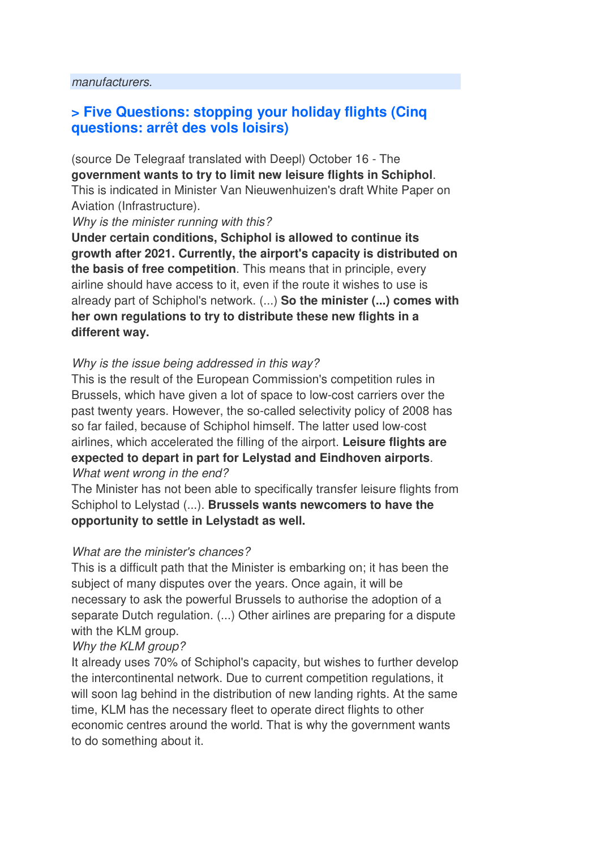## **> Five Questions: stopping your holiday flights (Cinq questions: arrêt des vols loisirs)**

(source De Telegraaf translated with Deepl) October 16 - The **government wants to try to limit new leisure flights in Schiphol**. This is indicated in Minister Van Nieuwenhuizen's draft White Paper on Aviation (Infrastructure).

Why is the minister running with this?

**Under certain conditions, Schiphol is allowed to continue its growth after 2021. Currently, the airport's capacity is distributed on the basis of free competition**. This means that in principle, every airline should have access to it, even if the route it wishes to use is already part of Schiphol's network. (...) **So the minister (...) comes with her own regulations to try to distribute these new flights in a different way.** 

#### Why is the issue being addressed in this way?

This is the result of the European Commission's competition rules in Brussels, which have given a lot of space to low-cost carriers over the past twenty years. However, the so-called selectivity policy of 2008 has so far failed, because of Schiphol himself. The latter used low-cost airlines, which accelerated the filling of the airport. **Leisure flights are expected to depart in part for Lelystad and Eindhoven airports**. What went wrong in the end?

The Minister has not been able to specifically transfer leisure flights from Schiphol to Lelystad (...). **Brussels wants newcomers to have the opportunity to settle in Lelystadt as well.** 

#### What are the minister's chances?

This is a difficult path that the Minister is embarking on; it has been the subject of many disputes over the years. Once again, it will be necessary to ask the powerful Brussels to authorise the adoption of a separate Dutch regulation. (...) Other airlines are preparing for a dispute with the KLM group.

#### Why the KLM group?

It already uses 70% of Schiphol's capacity, but wishes to further develop the intercontinental network. Due to current competition regulations, it will soon lag behind in the distribution of new landing rights. At the same time, KLM has the necessary fleet to operate direct flights to other economic centres around the world. That is why the government wants to do something about it.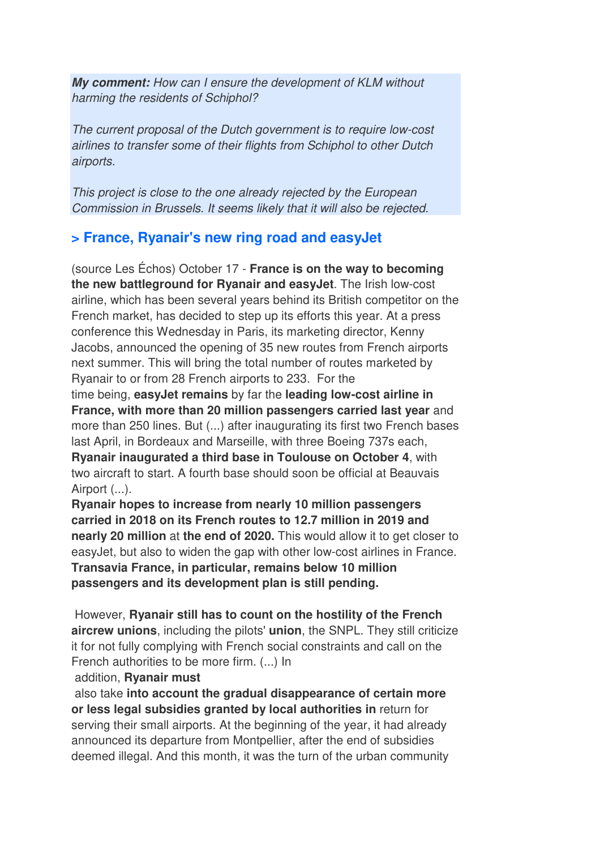*My comment:* How can I ensure the development of KLM without harming the residents of Schiphol?

The current proposal of the Dutch government is to require low-cost airlines to transfer some of their flights from Schiphol to other Dutch airports.

This project is close to the one already rejected by the European Commission in Brussels. It seems likely that it will also be rejected.

## **> France, Ryanair's new ring road and easyJet**

(source Les Échos) October 17 - **France is on the way to becoming the new battleground for Ryanair and easyJet**. The Irish low-cost airline, which has been several years behind its British competitor on the French market, has decided to step up its efforts this year. At a press conference this Wednesday in Paris, its marketing director, Kenny Jacobs, announced the opening of 35 new routes from French airports next summer. This will bring the total number of routes marketed by Ryanair to or from 28 French airports to 233. For the time being, **easyJet remains** by far the **leading low-cost airline in France, with more than 20 million passengers carried last year** and more than 250 lines. But (...) after inaugurating its first two French bases last April, in Bordeaux and Marseille, with three Boeing 737s each, **Ryanair inaugurated a third base in Toulouse on October 4**, with two aircraft to start. A fourth base should soon be official at Beauvais Airport (...).

**Ryanair hopes to increase from nearly 10 million passengers carried in 2018 on its French routes to 12.7 million in 2019 and nearly 20 million** at **the end of 2020.** This would allow it to get closer to easyJet, but also to widen the gap with other low-cost airlines in France. **Transavia France, in particular, remains below 10 million passengers and its development plan is still pending.** 

 However, **Ryanair still has to count on the hostility of the French aircrew unions**, including the pilots' **union**, the SNPL. They still criticize it for not fully complying with French social constraints and call on the French authorities to be more firm. (...) In

#### addition, **Ryanair must**

 also take **into account the gradual disappearance of certain more or less legal subsidies granted by local authorities in** return for serving their small airports. At the beginning of the year, it had already announced its departure from Montpellier, after the end of subsidies deemed illegal. And this month, it was the turn of the urban community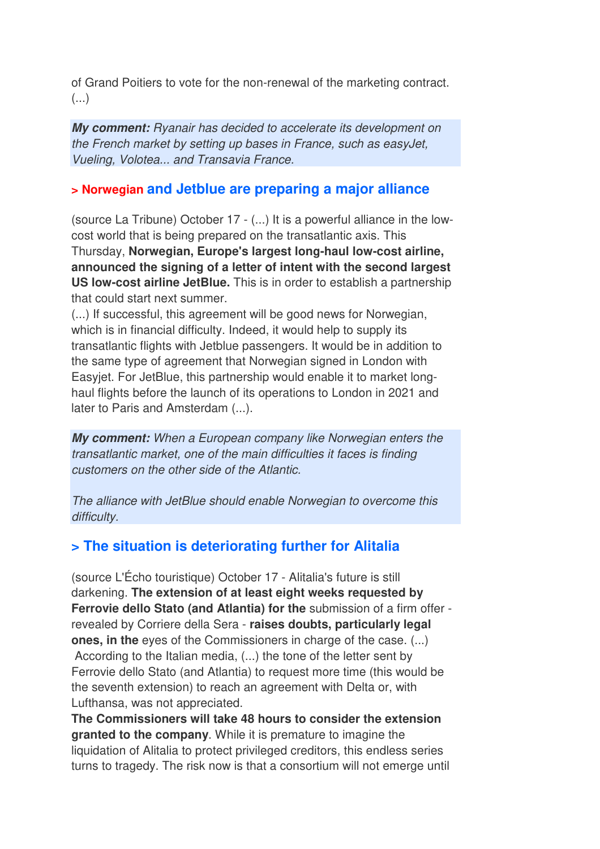of Grand Poitiers to vote for the non-renewal of the marketing contract.  $($ ...)

*My comment:* Ryanair has decided to accelerate its development on the French market by setting up bases in France, such as easyJet, Vueling, Volotea... and Transavia France.

### **> Norwegian and Jetblue are preparing a major alliance**

(source La Tribune) October 17 - (...) It is a powerful alliance in the lowcost world that is being prepared on the transatlantic axis. This Thursday, **Norwegian, Europe's largest long-haul low-cost airline, announced the signing of a letter of intent with the second largest US low-cost airline JetBlue.** This is in order to establish a partnership that could start next summer.

(...) If successful, this agreement will be good news for Norwegian, which is in financial difficulty. Indeed, it would help to supply its transatlantic flights with Jetblue passengers. It would be in addition to the same type of agreement that Norwegian signed in London with Easyjet. For JetBlue, this partnership would enable it to market longhaul flights before the launch of its operations to London in 2021 and later to Paris and Amsterdam (...).

*My comment:* When a European company like Norwegian enters the transatlantic market, one of the main difficulties it faces is finding customers on the other side of the Atlantic.

The alliance with JetBlue should enable Norwegian to overcome this difficulty.

## **> The situation is deteriorating further for Alitalia**

(source L'Écho touristique) October 17 - Alitalia's future is still darkening. **The extension of at least eight weeks requested by Ferrovie dello Stato (and Atlantia) for the** submission of a firm offer revealed by Corriere della Sera - **raises doubts, particularly legal ones, in the** eyes of the Commissioners in charge of the case. (...) According to the Italian media, (...) the tone of the letter sent by Ferrovie dello Stato (and Atlantia) to request more time (this would be the seventh extension) to reach an agreement with Delta or, with Lufthansa, was not appreciated.

**The Commissioners will take 48 hours to consider the extension granted to the company**. While it is premature to imagine the liquidation of Alitalia to protect privileged creditors, this endless series turns to tragedy. The risk now is that a consortium will not emerge until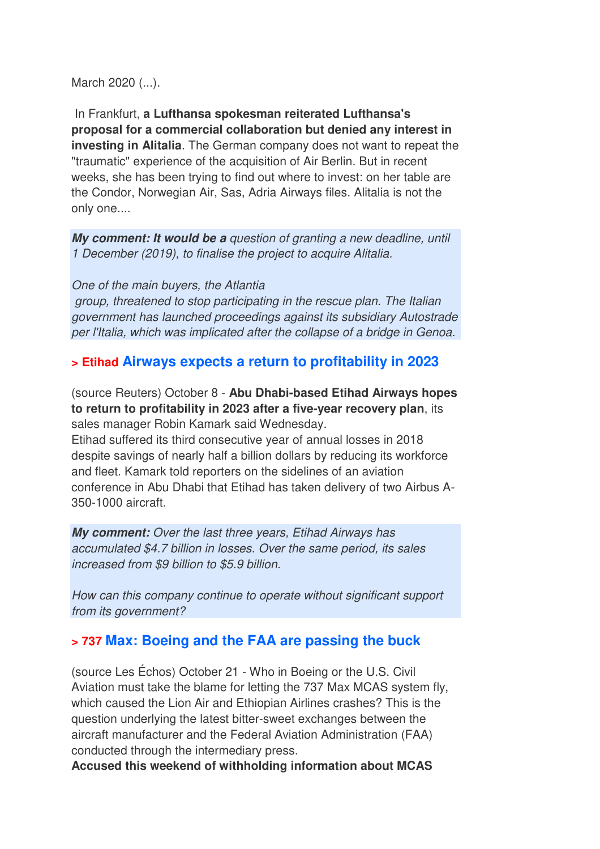March 2020 (...).

 In Frankfurt, **a Lufthansa spokesman reiterated Lufthansa's proposal for a commercial collaboration but denied any interest in investing in Alitalia**. The German company does not want to repeat the "traumatic" experience of the acquisition of Air Berlin. But in recent weeks, she has been trying to find out where to invest: on her table are the Condor, Norwegian Air, Sas, Adria Airways files. Alitalia is not the only one....

*My comment: It would be a* question of granting a new deadline, until 1 December (2019), to finalise the project to acquire Alitalia.

One of the main buyers, the Atlantia

 group, threatened to stop participating in the rescue plan. The Italian government has launched proceedings against its subsidiary Autostrade per l'Italia, which was implicated after the collapse of a bridge in Genoa.

#### **> Etihad Airways expects a return to profitability in 2023**

(source Reuters) October 8 - **Abu Dhabi-based Etihad Airways hopes to return to profitability in 2023 after a five-year recovery plan**, its sales manager Robin Kamark said Wednesday.

Etihad suffered its third consecutive year of annual losses in 2018 despite savings of nearly half a billion dollars by reducing its workforce and fleet. Kamark told reporters on the sidelines of an aviation conference in Abu Dhabi that Etihad has taken delivery of two Airbus A-350-1000 aircraft.

*My comment:* Over the last three years, Etihad Airways has accumulated \$4.7 billion in losses. Over the same period, its sales increased from \$9 billion to \$5.9 billion.

How can this company continue to operate without significant support from its government?

#### **> 737 Max: Boeing and the FAA are passing the buck**

(source Les Échos) October 21 - Who in Boeing or the U.S. Civil Aviation must take the blame for letting the 737 Max MCAS system fly, which caused the Lion Air and Ethiopian Airlines crashes? This is the question underlying the latest bitter-sweet exchanges between the aircraft manufacturer and the Federal Aviation Administration (FAA) conducted through the intermediary press.

**Accused this weekend of withholding information about MCAS**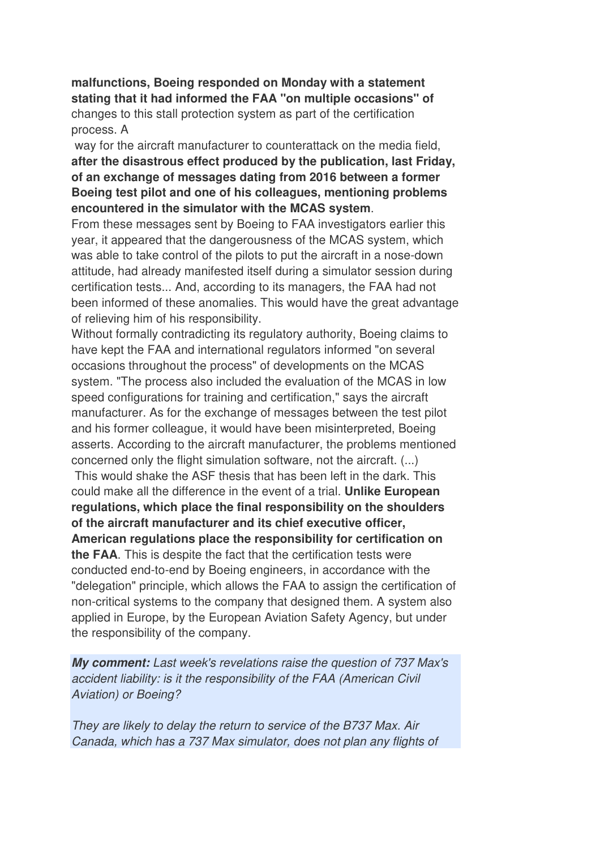**malfunctions, Boeing responded on Monday with a statement stating that it had informed the FAA "on multiple occasions" of** changes to this stall protection system as part of the certification process. A

 way for the aircraft manufacturer to counterattack on the media field, **after the disastrous effect produced by the publication, last Friday, of an exchange of messages dating from 2016 between a former Boeing test pilot and one of his colleagues, mentioning problems encountered in the simulator with the MCAS system**.

From these messages sent by Boeing to FAA investigators earlier this year, it appeared that the dangerousness of the MCAS system, which was able to take control of the pilots to put the aircraft in a nose-down attitude, had already manifested itself during a simulator session during certification tests... And, according to its managers, the FAA had not been informed of these anomalies. This would have the great advantage of relieving him of his responsibility.

Without formally contradicting its regulatory authority, Boeing claims to have kept the FAA and international regulators informed "on several occasions throughout the process" of developments on the MCAS system. "The process also included the evaluation of the MCAS in low speed configurations for training and certification," says the aircraft manufacturer. As for the exchange of messages between the test pilot and his former colleague, it would have been misinterpreted, Boeing asserts. According to the aircraft manufacturer, the problems mentioned concerned only the flight simulation software, not the aircraft. (...)

 This would shake the ASF thesis that has been left in the dark. This could make all the difference in the event of a trial. **Unlike European regulations, which place the final responsibility on the shoulders of the aircraft manufacturer and its chief executive officer, American regulations place the responsibility for certification on the FAA**. This is despite the fact that the certification tests were conducted end-to-end by Boeing engineers, in accordance with the "delegation" principle, which allows the FAA to assign the certification of non-critical systems to the company that designed them. A system also applied in Europe, by the European Aviation Safety Agency, but under the responsibility of the company.

*My comment:* Last week's revelations raise the question of 737 Max's accident liability: is it the responsibility of the FAA (American Civil Aviation) or Boeing?

They are likely to delay the return to service of the B737 Max. Air Canada, which has a 737 Max simulator, does not plan any flights of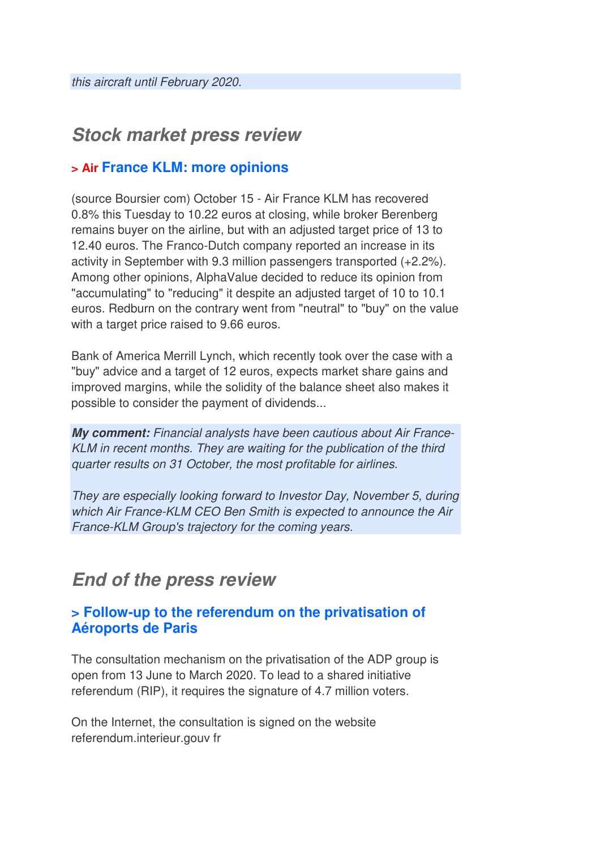## *Stock market press review*

## **> Air France KLM: more opinions**

(source Boursier com) October 15 - Air France KLM has recovered 0.8% this Tuesday to 10.22 euros at closing, while broker Berenberg remains buyer on the airline, but with an adjusted target price of 13 to 12.40 euros. The Franco-Dutch company reported an increase in its activity in September with 9.3 million passengers transported (+2.2%). Among other opinions, AlphaValue decided to reduce its opinion from "accumulating" to "reducing" it despite an adjusted target of 10 to 10.1 euros. Redburn on the contrary went from "neutral" to "buy" on the value with a target price raised to 9.66 euros.

Bank of America Merrill Lynch, which recently took over the case with a "buy" advice and a target of 12 euros, expects market share gains and improved margins, while the solidity of the balance sheet also makes it possible to consider the payment of dividends...

*My comment:* Financial analysts have been cautious about Air France-KLM in recent months. They are waiting for the publication of the third quarter results on 31 October, the most profitable for airlines.

They are especially looking forward to Investor Day, November 5, during which Air France-KLM CEO Ben Smith is expected to announce the Air France-KLM Group's trajectory for the coming years.

## *End of the press review*

## **> Follow-up to the referendum on the privatisation of Aéroports de Paris**

The consultation mechanism on the privatisation of the ADP group is open from 13 June to March 2020. To lead to a shared initiative referendum (RIP), it requires the signature of 4.7 million voters.

On the Internet, the consultation is signed on the website referendum.interieur.gouv fr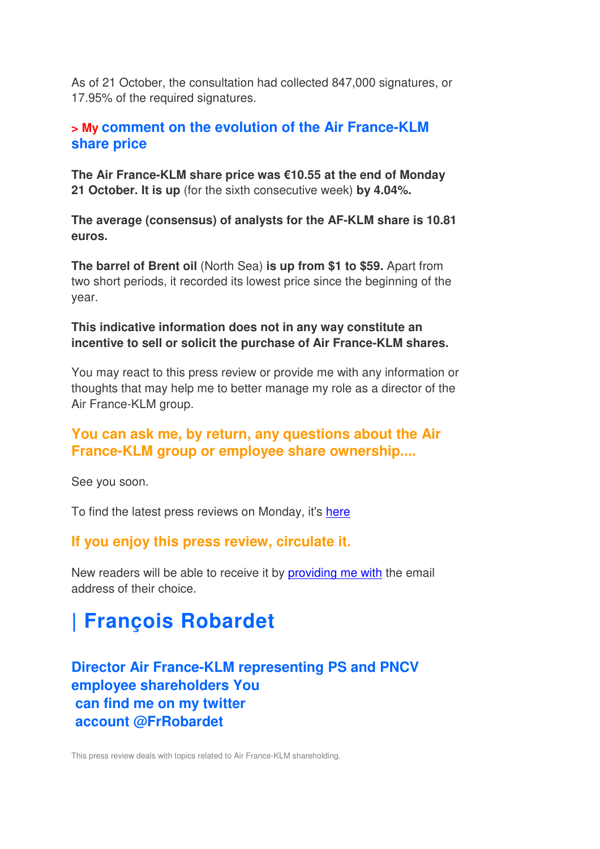As of 21 October, the consultation had collected 847,000 signatures, or 17.95% of the required signatures.

#### **> My comment on the evolution of the Air France-KLM share price**

**The Air France-KLM share price was €10.55 at the end of Monday 21 October. It is up** (for the sixth consecutive week) **by 4.04%.**

**The average (consensus) of analysts for the AF-KLM share is 10.81 euros.**

**The barrel of Brent oil** (North Sea) **is up from \$1 to \$59.** Apart from two short periods, it recorded its lowest price since the beginning of the year.

#### **This indicative information does not in any way constitute an incentive to sell or solicit the purchase of Air France-KLM shares.**

You may react to this press review or provide me with any information or thoughts that may help me to better manage my role as a director of the Air France-KLM group.

## **You can ask me, by return, any questions about the Air France-KLM group or employee share ownership....**

See you soon.

To find the latest press reviews on Monday, it's here

## **If you enjoy this press review, circulate it.**

New readers will be able to receive it by providing me with the email address of their choice.

# **| François Robardet**

## **Director Air France-KLM representing PS and PNCV employee shareholders You can find me on my twitter account @FrRobardet**

This press review deals with topics related to Air France-KLM shareholding.